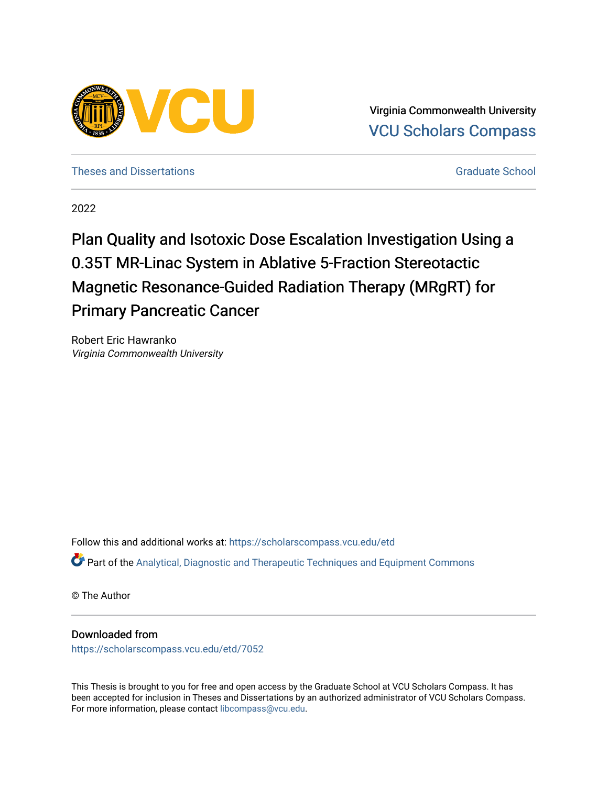

Virginia Commonwealth University [VCU Scholars Compass](https://scholarscompass.vcu.edu/) 

[Theses and Dissertations](https://scholarscompass.vcu.edu/etd) [Graduate School](https://scholarscompass.vcu.edu/gradschool) and Dissertations Graduate School and Dissertations Graduate School and Dissertations Graduate School and Dissertations Graduate School and Dissertations Graduate School and Dissert

2022

# Plan Quality and Isotoxic Dose Escalation Investigation Using a 0.35T MR-Linac System in Ablative 5-Fraction Stereotactic Magnetic Resonance-Guided Radiation Therapy (MRgRT) for Primary Pancreatic Cancer

Robert Eric Hawranko Virginia Commonwealth University

Follow this and additional works at: [https://scholarscompass.vcu.edu/etd](https://scholarscompass.vcu.edu/etd?utm_source=scholarscompass.vcu.edu%2Fetd%2F7052&utm_medium=PDF&utm_campaign=PDFCoverPages) 

Part of the [Analytical, Diagnostic and Therapeutic Techniques and Equipment Commons](https://network.bepress.com/hgg/discipline/899?utm_source=scholarscompass.vcu.edu%2Fetd%2F7052&utm_medium=PDF&utm_campaign=PDFCoverPages)

© The Author

## Downloaded from

[https://scholarscompass.vcu.edu/etd/7052](https://scholarscompass.vcu.edu/etd/7052?utm_source=scholarscompass.vcu.edu%2Fetd%2F7052&utm_medium=PDF&utm_campaign=PDFCoverPages) 

This Thesis is brought to you for free and open access by the Graduate School at VCU Scholars Compass. It has been accepted for inclusion in Theses and Dissertations by an authorized administrator of VCU Scholars Compass. For more information, please contact [libcompass@vcu.edu](mailto:libcompass@vcu.edu).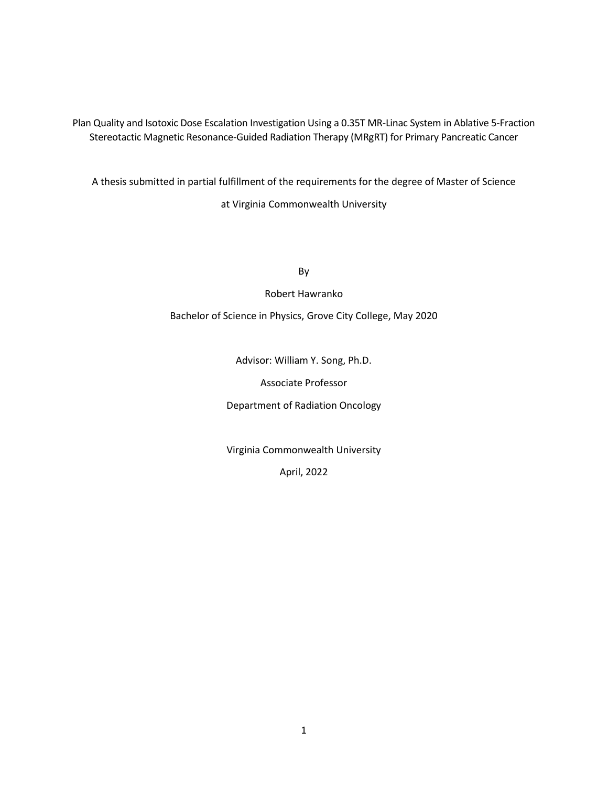Plan Quality and Isotoxic Dose Escalation Investigation Using a 0.35T MR-Linac System in Ablative 5-Fraction Stereotactic Magnetic Resonance-Guided Radiation Therapy (MRgRT) for Primary Pancreatic Cancer

A thesis submitted in partial fulfillment of the requirements for the degree of Master of Science at Virginia Commonwealth University

By

Robert Hawranko

Bachelor of Science in Physics, Grove City College, May 2020

Advisor: William Y. Song, Ph.D.

Associate Professor

Department of Radiation Oncology

Virginia Commonwealth University

April, 2022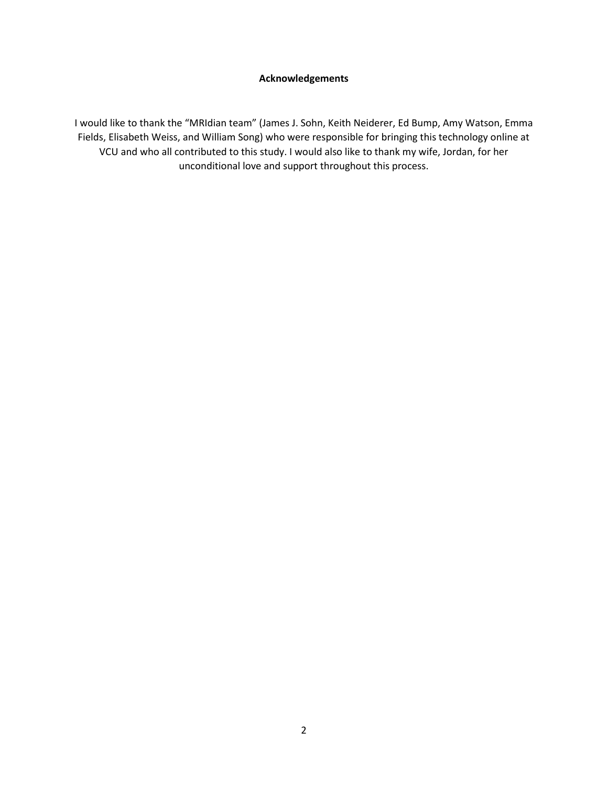#### **Acknowledgements**

I would like to thank the "MRIdian team" (James J. Sohn, Keith Neiderer, Ed Bump, Amy Watson, Emma Fields, Elisabeth Weiss, and William Song) who were responsible for bringing this technology online at VCU and who all contributed to this study. I would also like to thank my wife, Jordan, for her unconditional love and support throughout this process.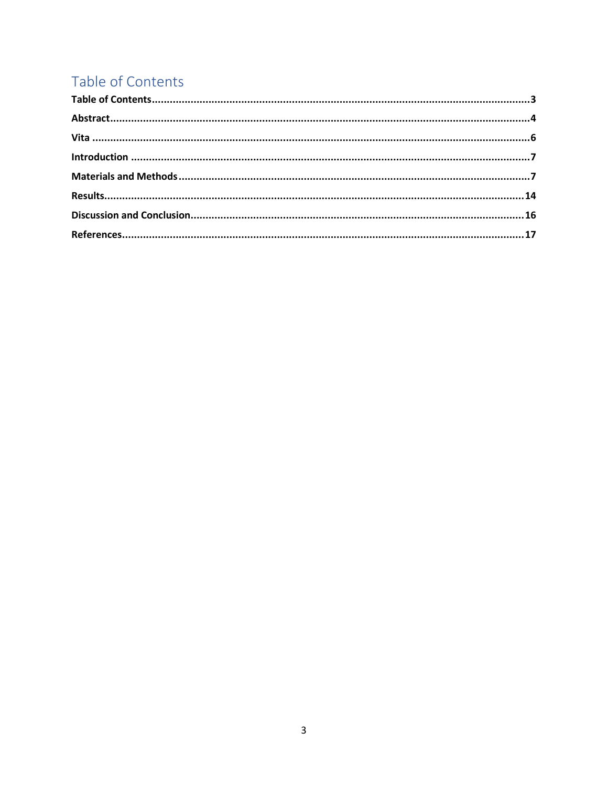# Table of Contents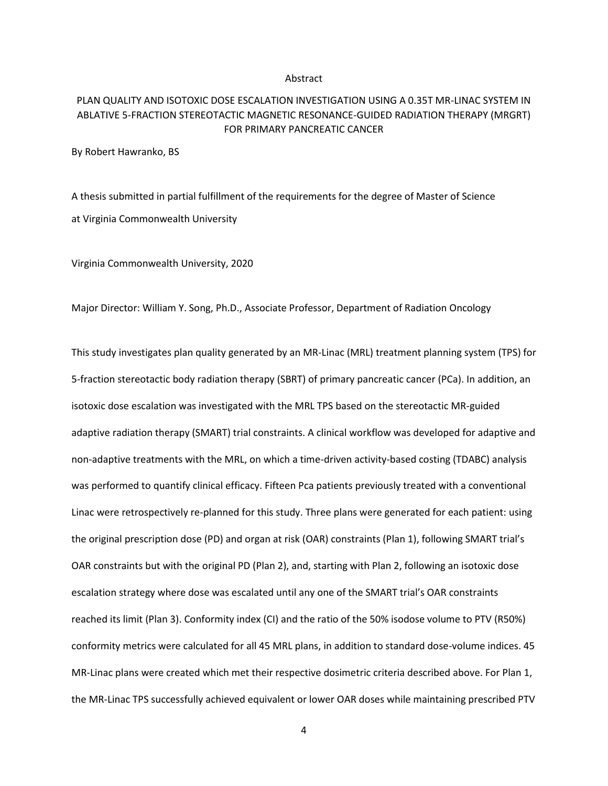#### Abstract

## PLAN QUALITY AND ISOTOXIC DOSE ESCALATION INVESTIGATION USING A 0.35T MR-LINAC SYSTEM IN ABLATIVE 5-FRACTION STEREOTACTIC MAGNETIC RESONANCE-GUIDED RADIATION THERAPY (MRGRT) FOR PRIMARY PANCREATIC CANCER

By Robert Hawranko, BS

A thesis submitted in partial fulfillment of the requirements for the degree of Master of Science at Virginia Commonwealth University

Virginia Commonwealth University, 2020

Major Director: William Y. Song, Ph.D., Associate Professor, Department of Radiation Oncology

This study investigates plan quality generated by an MR-Linac (MRL) treatment planning system (TPS) for 5-fraction stereotactic body radiation therapy (SBRT) of primary pancreatic cancer (PCa). In addition, an isotoxic dose escalation was investigated with the MRL TPS based on the stereotactic MR-guided adaptive radiation therapy (SMART) trial constraints. A clinical workflow was developed for adaptive and non-adaptive treatments with the MRL, on which a time-driven activity-based costing (TDABC) analysis was performed to quantify clinical efficacy. Fifteen Pca patients previously treated with a conventional Linac were retrospectively re-planned for this study. Three plans were generated for each patient: using the original prescription dose (PD) and organ at risk (OAR) constraints (Plan 1), following SMART trial's OAR constraints but with the original PD (Plan 2), and, starting with Plan 2, following an isotoxic dose escalation strategy where dose was escalated until any one of the SMART trial's OAR constraints reached its limit (Plan 3). Conformity index (CI) and the ratio of the 50% isodose volume to PTV (R50%) conformity metrics were calculated for all 45 MRL plans, in addition to standard dose-volume indices. 45 MR-Linac plans were created which met their respective dosimetric criteria described above. For Plan 1, the MR-Linac TPS successfully achieved equivalent or lower OAR doses while maintaining prescribed PTV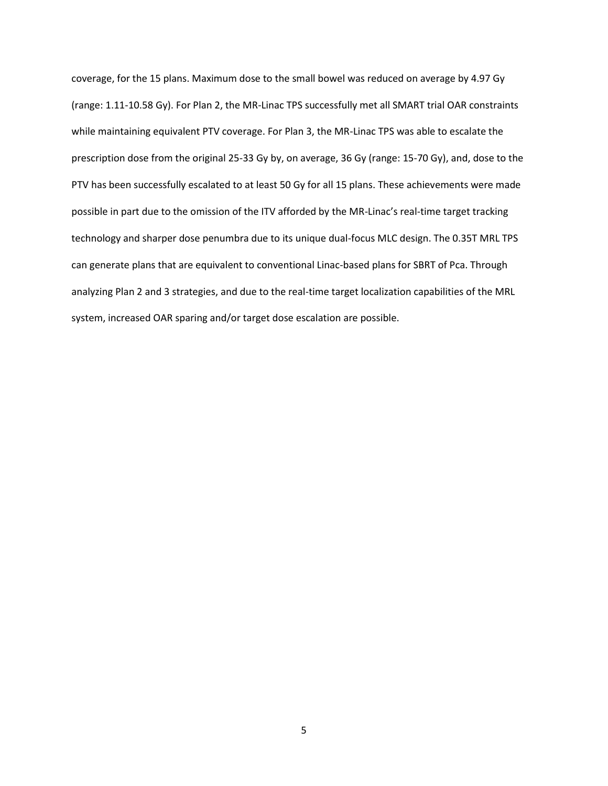coverage, for the 15 plans. Maximum dose to the small bowel was reduced on average by 4.97 Gy (range: 1.11-10.58 Gy). For Plan 2, the MR-Linac TPS successfully met all SMART trial OAR constraints while maintaining equivalent PTV coverage. For Plan 3, the MR-Linac TPS was able to escalate the prescription dose from the original 25-33 Gy by, on average, 36 Gy (range: 15-70 Gy), and, dose to the PTV has been successfully escalated to at least 50 Gy for all 15 plans. These achievements were made possible in part due to the omission of the ITV afforded by the MR-Linac's real-time target tracking technology and sharper dose penumbra due to its unique dual-focus MLC design. The 0.35T MRL TPS can generate plans that are equivalent to conventional Linac-based plans for SBRT of Pca. Through analyzing Plan 2 and 3 strategies, and due to the real-time target localization capabilities of the MRL system, increased OAR sparing and/or target dose escalation are possible.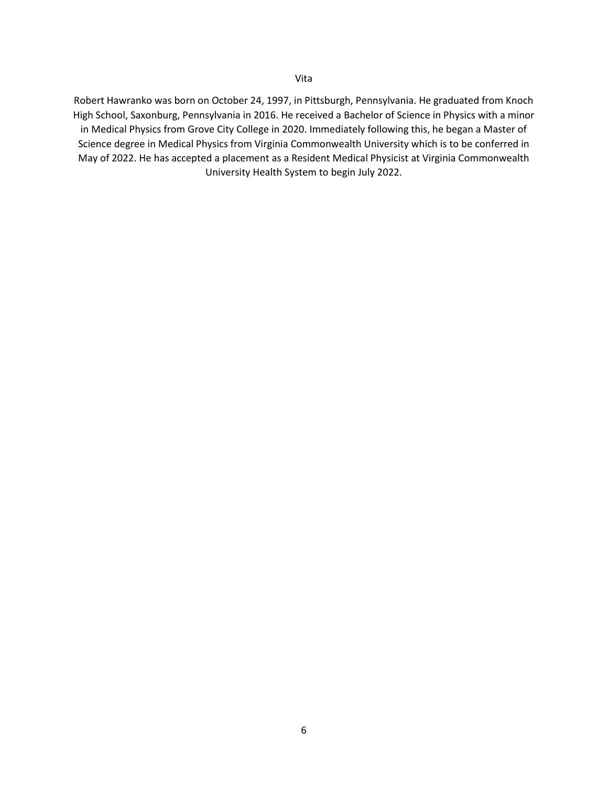Robert Hawranko was born on October 24, 1997, in Pittsburgh, Pennsylvania. He graduated from Knoch High School, Saxonburg, Pennsylvania in 2016. He received a Bachelor of Science in Physics with a minor in Medical Physics from Grove City College in 2020. Immediately following this, he began a Master of Science degree in Medical Physics from Virginia Commonwealth University which is to be conferred in May of 2022. He has accepted a placement as a Resident Medical Physicist at Virginia Commonwealth University Health System to begin July 2022.

Vita

#### 6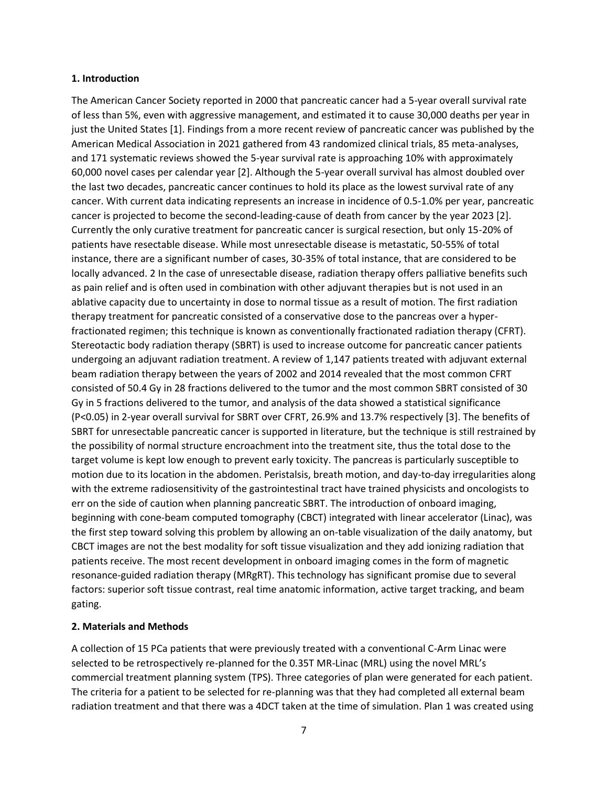#### **1. Introduction**

The American Cancer Society reported in 2000 that pancreatic cancer had a 5-year overall survival rate of less than 5%, even with aggressive management, and estimated it to cause 30,000 deaths per year in just the United States [1]. Findings from a more recent review of pancreatic cancer was published by the American Medical Association in 2021 gathered from 43 randomized clinical trials, 85 meta-analyses, and 171 systematic reviews showed the 5-year survival rate is approaching 10% with approximately 60,000 novel cases per calendar year [2]. Although the 5-year overall survival has almost doubled over the last two decades, pancreatic cancer continues to hold its place as the lowest survival rate of any cancer. With current data indicating represents an increase in incidence of 0.5-1.0% per year, pancreatic cancer is projected to become the second-leading-cause of death from cancer by the year 2023 [2]. Currently the only curative treatment for pancreatic cancer is surgical resection, but only 15-20% of patients have resectable disease. While most unresectable disease is metastatic, 50-55% of total instance, there are a significant number of cases, 30-35% of total instance, that are considered to be locally advanced. 2 In the case of unresectable disease, radiation therapy offers palliative benefits such as pain relief and is often used in combination with other adjuvant therapies but is not used in an ablative capacity due to uncertainty in dose to normal tissue as a result of motion. The first radiation therapy treatment for pancreatic consisted of a conservative dose to the pancreas over a hyperfractionated regimen; this technique is known as conventionally fractionated radiation therapy (CFRT). Stereotactic body radiation therapy (SBRT) is used to increase outcome for pancreatic cancer patients undergoing an adjuvant radiation treatment. A review of 1,147 patients treated with adjuvant external beam radiation therapy between the years of 2002 and 2014 revealed that the most common CFRT consisted of 50.4 Gy in 28 fractions delivered to the tumor and the most common SBRT consisted of 30 Gy in 5 fractions delivered to the tumor, and analysis of the data showed a statistical significance (P<0.05) in 2-year overall survival for SBRT over CFRT, 26.9% and 13.7% respectively [3]. The benefits of SBRT for unresectable pancreatic cancer is supported in literature, but the technique is still restrained by the possibility of normal structure encroachment into the treatment site, thus the total dose to the target volume is kept low enough to prevent early toxicity. The pancreas is particularly susceptible to motion due to its location in the abdomen. Peristalsis, breath motion, and day-to-day irregularities along with the extreme radiosensitivity of the gastrointestinal tract have trained physicists and oncologists to err on the side of caution when planning pancreatic SBRT. The introduction of onboard imaging, beginning with cone-beam computed tomography (CBCT) integrated with linear accelerator (Linac), was the first step toward solving this problem by allowing an on-table visualization of the daily anatomy, but CBCT images are not the best modality for soft tissue visualization and they add ionizing radiation that patients receive. The most recent development in onboard imaging comes in the form of magnetic resonance-guided radiation therapy (MRgRT). This technology has significant promise due to several factors: superior soft tissue contrast, real time anatomic information, active target tracking, and beam gating.

#### **2. Materials and Methods**

A collection of 15 PCa patients that were previously treated with a conventional C-Arm Linac were selected to be retrospectively re-planned for the 0.35T MR-Linac (MRL) using the novel MRL's commercial treatment planning system (TPS). Three categories of plan were generated for each patient. The criteria for a patient to be selected for re-planning was that they had completed all external beam radiation treatment and that there was a 4DCT taken at the time of simulation. Plan 1 was created using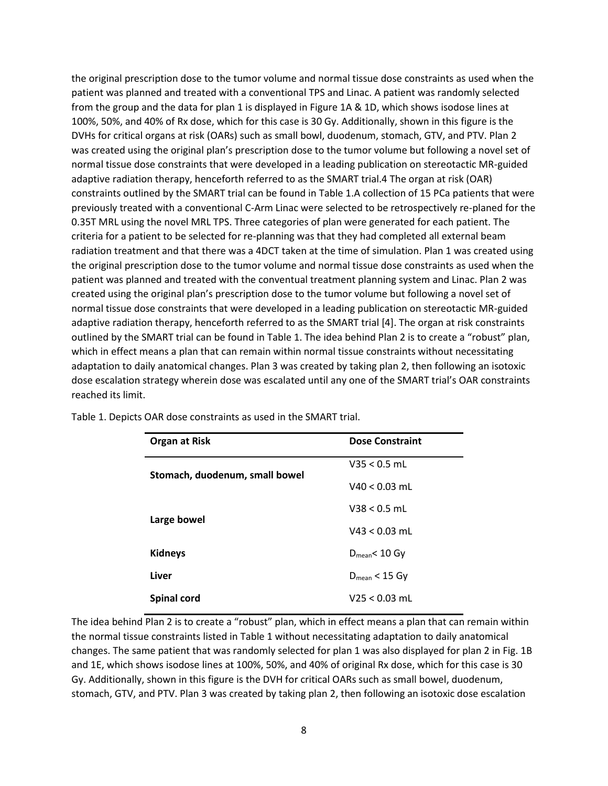the original prescription dose to the tumor volume and normal tissue dose constraints as used when the patient was planned and treated with a conventional TPS and Linac. A patient was randomly selected from the group and the data for plan 1 is displayed in Figure 1A & 1D, which shows isodose lines at 100%, 50%, and 40% of Rx dose, which for this case is 30 Gy. Additionally, shown in this figure is the DVHs for critical organs at risk (OARs) such as small bowl, duodenum, stomach, GTV, and PTV. Plan 2 was created using the original plan's prescription dose to the tumor volume but following a novel set of normal tissue dose constraints that were developed in a leading publication on stereotactic MR-guided adaptive radiation therapy, henceforth referred to as the SMART trial.4 The organ at risk (OAR) constraints outlined by the SMART trial can be found in Table 1.A collection of 15 PCa patients that were previously treated with a conventional C-Arm Linac were selected to be retrospectively re-planed for the 0.35T MRL using the novel MRL TPS. Three categories of plan were generated for each patient. The criteria for a patient to be selected for re-planning was that they had completed all external beam radiation treatment and that there was a 4DCT taken at the time of simulation. Plan 1 was created using the original prescription dose to the tumor volume and normal tissue dose constraints as used when the patient was planned and treated with the conventual treatment planning system and Linac. Plan 2 was created using the original plan's prescription dose to the tumor volume but following a novel set of normal tissue dose constraints that were developed in a leading publication on stereotactic MR-guided adaptive radiation therapy, henceforth referred to as the SMART trial [4]. The organ at risk constraints outlined by the SMART trial can be found in Table 1. The idea behind Plan 2 is to create a "robust" plan, which in effect means a plan that can remain within normal tissue constraints without necessitating adaptation to daily anatomical changes. Plan 3 was created by taking plan 2, then following an isotoxic dose escalation strategy wherein dose was escalated until any one of the SMART trial's OAR constraints reached its limit.

| <b>Organ at Risk</b>           | <b>Dose Constraint</b> |
|--------------------------------|------------------------|
| Stomach, duodenum, small bowel | $V35 < 0.5$ mL         |
|                                | $V40 < 0.03$ mL        |
|                                | $V38 < 0.5$ mL         |
| Large bowel                    | $V43 < 0.03$ mL        |
| <b>Kidneys</b>                 | $D_{mean}$ < 10 Gy     |
| Liver                          | $D_{mean}$ < 15 Gy     |
| <b>Spinal cord</b>             | $V25 < 0.03$ mL        |

Table 1. Depicts OAR dose constraints as used in the SMART trial.

The idea behind Plan 2 is to create a "robust" plan, which in effect means a plan that can remain within the normal tissue constraints listed in Table 1 without necessitating adaptation to daily anatomical changes. The same patient that was randomly selected for plan 1 was also displayed for plan 2 in Fig. 1B and 1E, which shows isodose lines at 100%, 50%, and 40% of original Rx dose, which for this case is 30 Gy. Additionally, shown in this figure is the DVH for critical OARs such as small bowel, duodenum, stomach, GTV, and PTV. Plan 3 was created by taking plan 2, then following an isotoxic dose escalation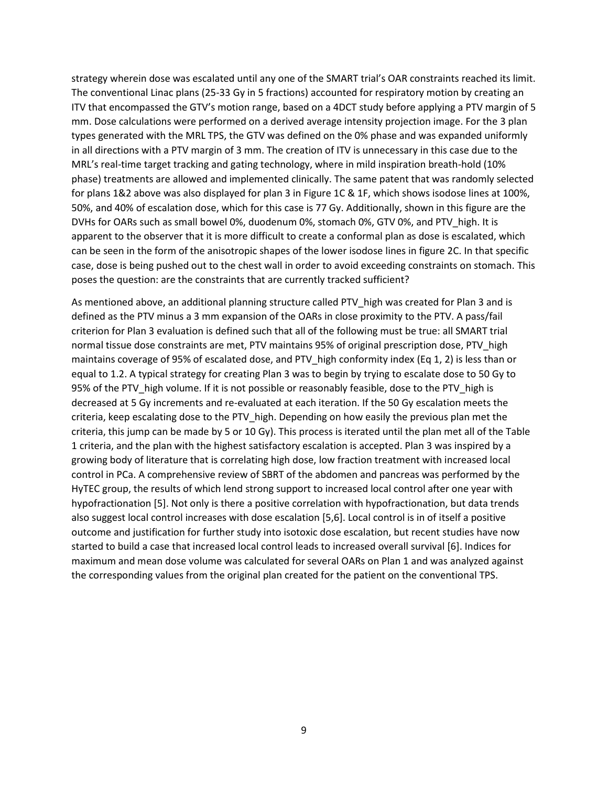strategy wherein dose was escalated until any one of the SMART trial's OAR constraints reached its limit. The conventional Linac plans (25-33 Gy in 5 fractions) accounted for respiratory motion by creating an ITV that encompassed the GTV's motion range, based on a 4DCT study before applying a PTV margin of 5 mm. Dose calculations were performed on a derived average intensity projection image. For the 3 plan types generated with the MRL TPS, the GTV was defined on the 0% phase and was expanded uniformly in all directions with a PTV margin of 3 mm. The creation of ITV is unnecessary in this case due to the MRL's real-time target tracking and gating technology, where in mild inspiration breath-hold (10% phase) treatments are allowed and implemented clinically. The same patent that was randomly selected for plans 1&2 above was also displayed for plan 3 in Figure 1C & 1F, which shows isodose lines at 100%, 50%, and 40% of escalation dose, which for this case is 77 Gy. Additionally, shown in this figure are the DVHs for OARs such as small bowel 0%, duodenum 0%, stomach 0%, GTV 0%, and PTV high. It is apparent to the observer that it is more difficult to create a conformal plan as dose is escalated, which can be seen in the form of the anisotropic shapes of the lower isodose lines in figure 2C. In that specific case, dose is being pushed out to the chest wall in order to avoid exceeding constraints on stomach. This poses the question: are the constraints that are currently tracked sufficient?

As mentioned above, an additional planning structure called PTV high was created for Plan 3 and is defined as the PTV minus a 3 mm expansion of the OARs in close proximity to the PTV. A pass/fail criterion for Plan 3 evaluation is defined such that all of the following must be true: all SMART trial normal tissue dose constraints are met, PTV maintains 95% of original prescription dose, PTV\_high maintains coverage of 95% of escalated dose, and PTV\_high conformity index (Eq 1, 2) is less than or equal to 1.2. A typical strategy for creating Plan 3 was to begin by trying to escalate dose to 50 Gy to 95% of the PTV high volume. If it is not possible or reasonably feasible, dose to the PTV high is decreased at 5 Gy increments and re-evaluated at each iteration. If the 50 Gy escalation meets the criteria, keep escalating dose to the PTV\_high. Depending on how easily the previous plan met the criteria, this jump can be made by 5 or 10 Gy). This process is iterated until the plan met all of the Table 1 criteria, and the plan with the highest satisfactory escalation is accepted. Plan 3 was inspired by a growing body of literature that is correlating high dose, low fraction treatment with increased local control in PCa. A comprehensive review of SBRT of the abdomen and pancreas was performed by the HyTEC group, the results of which lend strong support to increased local control after one year with hypofractionation [5]. Not only is there a positive correlation with hypofractionation, but data trends also suggest local control increases with dose escalation [5,6]. Local control is in of itself a positive outcome and justification for further study into isotoxic dose escalation, but recent studies have now started to build a case that increased local control leads to increased overall survival [6]. Indices for maximum and mean dose volume was calculated for several OARs on Plan 1 and was analyzed against the corresponding values from the original plan created for the patient on the conventional TPS.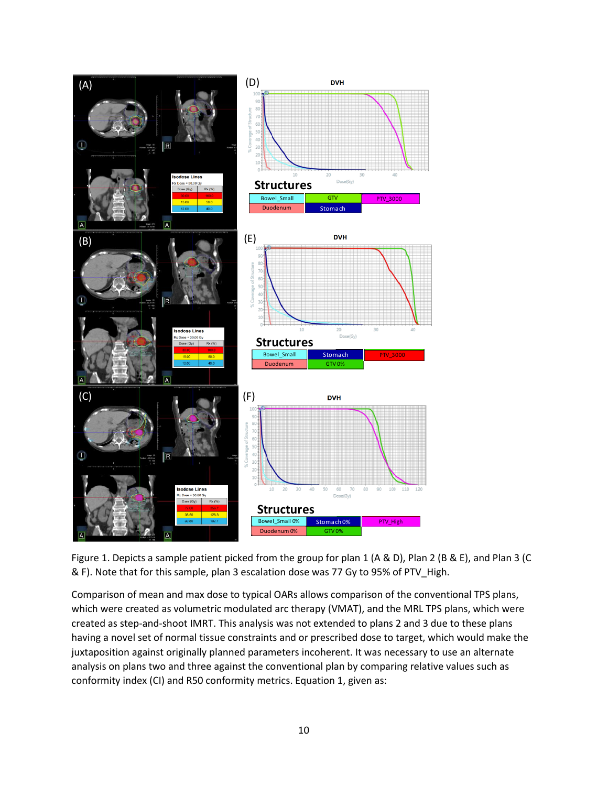

Figure 1. Depicts a sample patient picked from the group for plan 1 (A & D), Plan 2 (B & E), and Plan 3 (C & F). Note that for this sample, plan 3 escalation dose was 77 Gy to 95% of PTV\_High.

Comparison of mean and max dose to typical OARs allows comparison of the conventional TPS plans, which were created as volumetric modulated arc therapy (VMAT), and the MRL TPS plans, which were created as step-and-shoot IMRT. This analysis was not extended to plans 2 and 3 due to these plans having a novel set of normal tissue constraints and or prescribed dose to target, which would make the juxtaposition against originally planned parameters incoherent. It was necessary to use an alternate analysis on plans two and three against the conventional plan by comparing relative values such as conformity index (CI) and R50 conformity metrics. Equation 1, given as: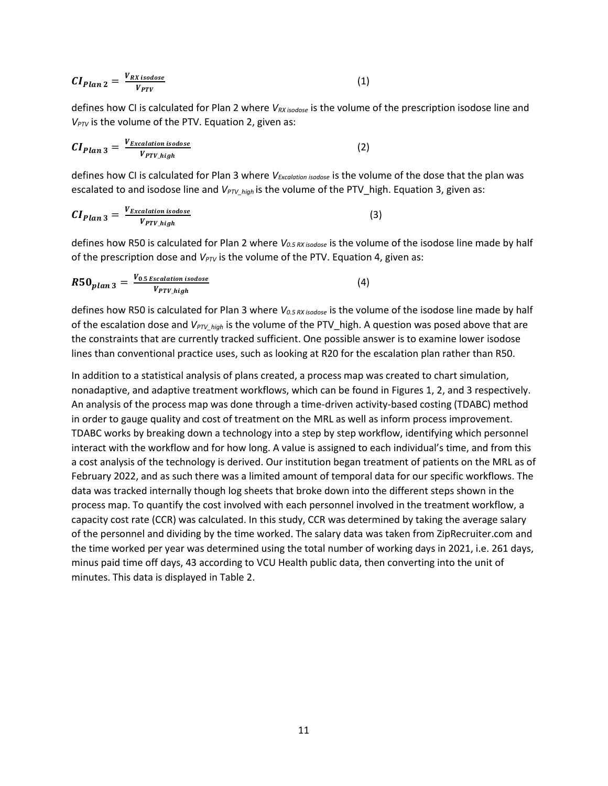$$
CI_{Plan\ 2} = \frac{V_{RX\ isodose}}{V_{PTV}} \tag{1}
$$

defines how CI is calculated for Plan 2 where *VRX isodose* is the volume of the prescription isodose line and *V<sub>PTV</sub>* is the volume of the PTV. Equation 2, given as:

$$
CI_{Plan\ 3} = \frac{V_{Excalation\ is odose}}{V_{PTV\_high}}\tag{2}
$$

defines how CI is calculated for Plan 3 where *VExcalation isodose* is the volume of the dose that the plan was escalated to and isodose line and *VPTV\_high* is the volume of the PTV\_high. Equation 3, given as:

$$
CI_{Plan\ 3} = \frac{V_{Excalation\ is odose}}{V_{PTV\_high}}\tag{3}
$$

defines how R50 is calculated for Plan 2 where *V0.5 RX isodose* is the volume of the isodose line made by half of the prescription dose and  $V_{PTV}$  is the volume of the PTV. Equation 4, given as:

$$
R50_{plan\,3} = \frac{V_{0.5\,Excalation\,isodose}}{V_{PTV\_high}}\tag{4}
$$

defines how R50 is calculated for Plan 3 where *V0.5 RX isodose* is the volume of the isodose line made by half of the escalation dose and *VPTV\_high* is the volume of the PTV\_high. A question was posed above that are the constraints that are currently tracked sufficient. One possible answer is to examine lower isodose lines than conventional practice uses, such as looking at R20 for the escalation plan rather than R50.

In addition to a statistical analysis of plans created, a process map was created to chart simulation, nonadaptive, and adaptive treatment workflows, which can be found in Figures 1, 2, and 3 respectively. An analysis of the process map was done through a time-driven activity-based costing (TDABC) method in order to gauge quality and cost of treatment on the MRL as well as inform process improvement. TDABC works by breaking down a technology into a step by step workflow, identifying which personnel interact with the workflow and for how long. A value is assigned to each individual's time, and from this a cost analysis of the technology is derived. Our institution began treatment of patients on the MRL as of February 2022, and as such there was a limited amount of temporal data for our specific workflows. The data was tracked internally though log sheets that broke down into the different steps shown in the process map. To quantify the cost involved with each personnel involved in the treatment workflow, a capacity cost rate (CCR) was calculated. In this study, CCR was determined by taking the average salary of the personnel and dividing by the time worked. The salary data was taken from ZipRecruiter.com and the time worked per year was determined using the total number of working days in 2021, i.e. 261 days, minus paid time off days, 43 according to VCU Health public data, then converting into the unit of minutes. This data is displayed in Table 2.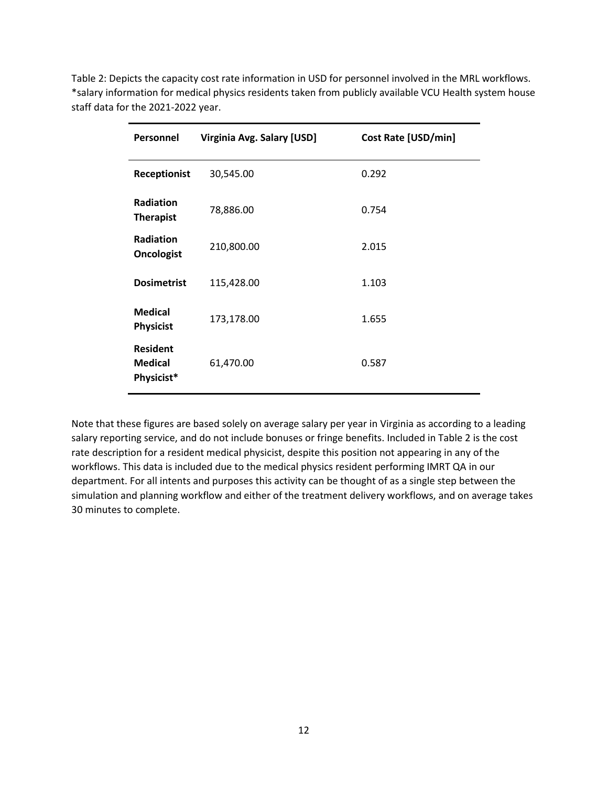| Personnel                                       | Virginia Avg. Salary [USD] | <b>Cost Rate [USD/min]</b> |
|-------------------------------------------------|----------------------------|----------------------------|
| <b>Receptionist</b>                             | 30,545.00                  | 0.292                      |
| <b>Radiation</b><br><b>Therapist</b>            | 78,886.00                  | 0.754                      |
| <b>Radiation</b><br><b>Oncologist</b>           | 210,800.00                 | 2.015                      |
| <b>Dosimetrist</b>                              | 115,428.00                 | 1.103                      |
| <b>Medical</b><br><b>Physicist</b>              | 173,178.00                 | 1.655                      |
| <b>Resident</b><br><b>Medical</b><br>Physicist* | 61,470.00                  | 0.587                      |

Table 2: Depicts the capacity cost rate information in USD for personnel involved in the MRL workflows. \*salary information for medical physics residents taken from publicly available VCU Health system house staff data for the 2021-2022 year.

Note that these figures are based solely on average salary per year in Virginia as according to a leading salary reporting service, and do not include bonuses or fringe benefits. Included in Table 2 is the cost rate description for a resident medical physicist, despite this position not appearing in any of the workflows. This data is included due to the medical physics resident performing IMRT QA in our department. For all intents and purposes this activity can be thought of as a single step between the simulation and planning workflow and either of the treatment delivery workflows, and on average takes 30 minutes to complete.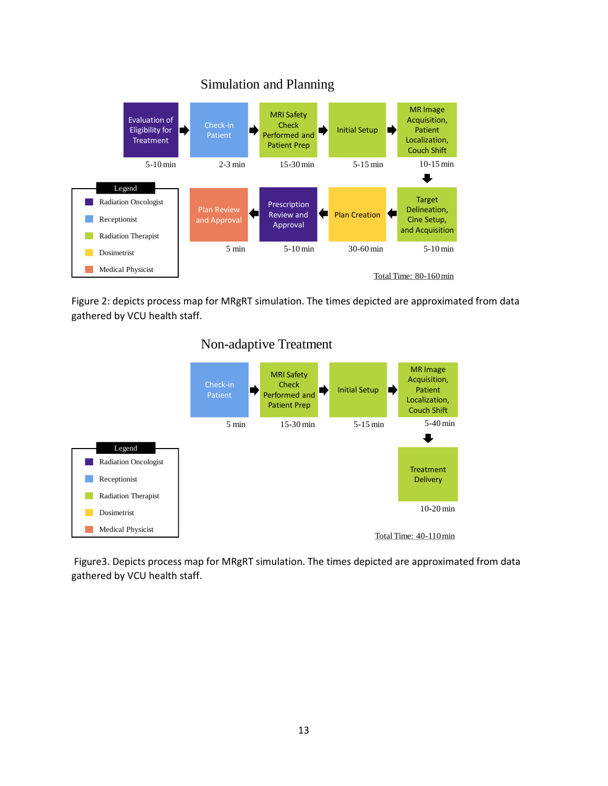

Figure 2: depicts process map for MRgRT simulation. The times depicted are approximated from data gathered by VCU health staff.





Figure3. Depicts process map for MRgRT simulation. The times depicted are approximated from data gathered by VCU health staff.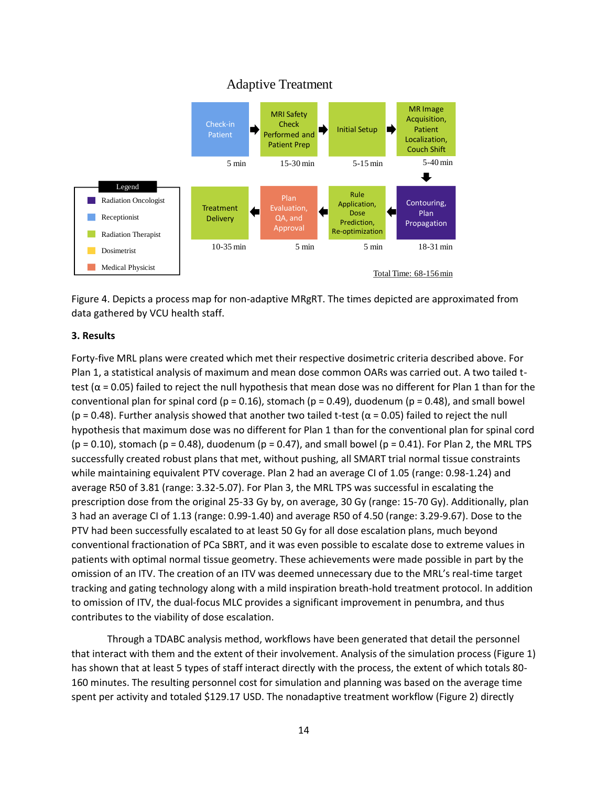# Adaptive Treatment



Figure 4. Depicts a process map for non-adaptive MRgRT. The times depicted are approximated from data gathered by VCU health staff.

#### **3. Results**

Forty-five MRL plans were created which met their respective dosimetric criteria described above. For Plan 1, a statistical analysis of maximum and mean dose common OARs was carried out. A two tailed ttest ( $\alpha$  = 0.05) failed to reject the null hypothesis that mean dose was no different for Plan 1 than for the conventional plan for spinal cord ( $p = 0.16$ ), stomach ( $p = 0.49$ ), duodenum ( $p = 0.48$ ), and small bowel (p = 0.48). Further analysis showed that another two tailed t-test ( $\alpha$  = 0.05) failed to reject the null hypothesis that maximum dose was no different for Plan 1 than for the conventional plan for spinal cord  $(p = 0.10)$ , stomach  $(p = 0.48)$ , duodenum  $(p = 0.47)$ , and small bowel  $(p = 0.41)$ . For Plan 2, the MRL TPS successfully created robust plans that met, without pushing, all SMART trial normal tissue constraints while maintaining equivalent PTV coverage. Plan 2 had an average CI of 1.05 (range: 0.98-1.24) and average R50 of 3.81 (range: 3.32-5.07). For Plan 3, the MRL TPS was successful in escalating the prescription dose from the original 25-33 Gy by, on average, 30 Gy (range: 15-70 Gy). Additionally, plan 3 had an average CI of 1.13 (range: 0.99-1.40) and average R50 of 4.50 (range: 3.29-9.67). Dose to the PTV had been successfully escalated to at least 50 Gy for all dose escalation plans, much beyond conventional fractionation of PCa SBRT, and it was even possible to escalate dose to extreme values in patients with optimal normal tissue geometry. These achievements were made possible in part by the omission of an ITV. The creation of an ITV was deemed unnecessary due to the MRL's real-time target tracking and gating technology along with a mild inspiration breath-hold treatment protocol. In addition to omission of ITV, the dual-focus MLC provides a significant improvement in penumbra, and thus contributes to the viability of dose escalation.

Through a TDABC analysis method, workflows have been generated that detail the personnel that interact with them and the extent of their involvement. Analysis of the simulation process (Figure 1) has shown that at least 5 types of staff interact directly with the process, the extent of which totals 80- 160 minutes. The resulting personnel cost for simulation and planning was based on the average time spent per activity and totaled \$129.17 USD. The nonadaptive treatment workflow (Figure 2) directly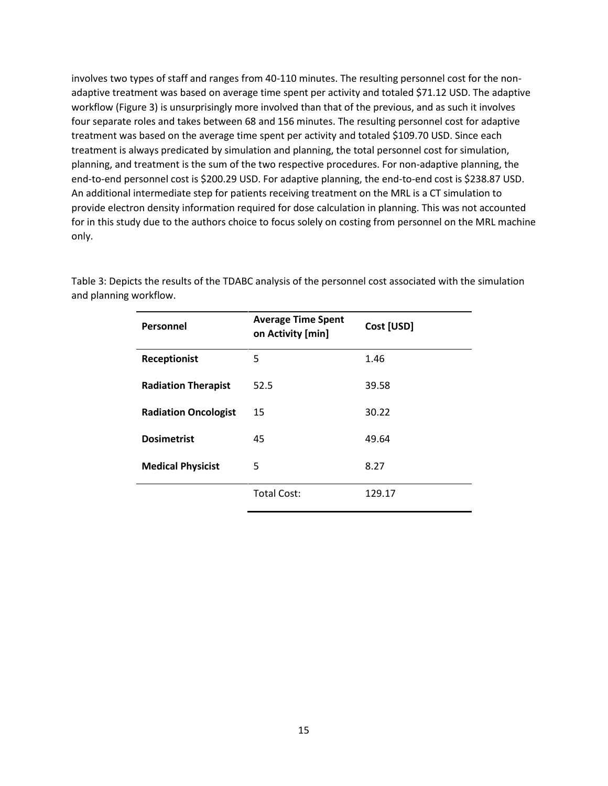involves two types of staff and ranges from 40-110 minutes. The resulting personnel cost for the nonadaptive treatment was based on average time spent per activity and totaled \$71.12 USD. The adaptive workflow (Figure 3) is unsurprisingly more involved than that of the previous, and as such it involves four separate roles and takes between 68 and 156 minutes. The resulting personnel cost for adaptive treatment was based on the average time spent per activity and totaled \$109.70 USD. Since each treatment is always predicated by simulation and planning, the total personnel cost for simulation, planning, and treatment is the sum of the two respective procedures. For non-adaptive planning, the end-to-end personnel cost is \$200.29 USD. For adaptive planning, the end-to-end cost is \$238.87 USD. An additional intermediate step for patients receiving treatment on the MRL is a CT simulation to provide electron density information required for dose calculation in planning. This was not accounted for in this study due to the authors choice to focus solely on costing from personnel on the MRL machine only.

| Personnel                   | <b>Average Time Spent</b><br>on Activity [min] | Cost [USD] |
|-----------------------------|------------------------------------------------|------------|
| <b>Receptionist</b>         | 5                                              | 1.46       |
| <b>Radiation Therapist</b>  | 52.5                                           | 39.58      |
| <b>Radiation Oncologist</b> | 15                                             | 30.22      |
| <b>Dosimetrist</b>          | 45                                             | 49.64      |
| <b>Medical Physicist</b>    | 5                                              | 8.27       |
|                             | <b>Total Cost:</b>                             | 129.17     |

Table 3: Depicts the results of the TDABC analysis of the personnel cost associated with the simulation and planning workflow.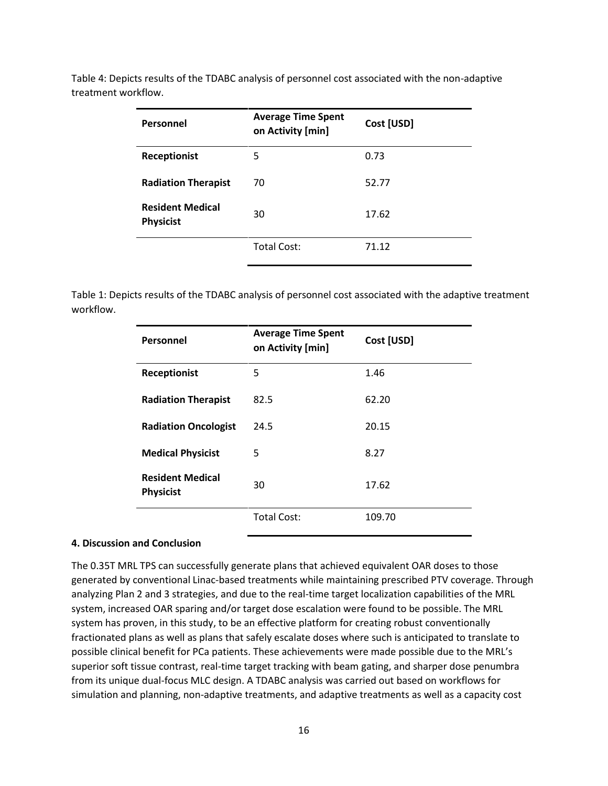| Personnel                                   | <b>Average Time Spent</b><br>on Activity [min] | Cost [USD] |
|---------------------------------------------|------------------------------------------------|------------|
| <b>Receptionist</b>                         | 5                                              | 0.73       |
| <b>Radiation Therapist</b>                  | 70                                             | 52.77      |
| <b>Resident Medical</b><br><b>Physicist</b> | 30                                             | 17.62      |
|                                             | <b>Total Cost:</b>                             | 71.12      |

Table 4: Depicts results of the TDABC analysis of personnel cost associated with the non-adaptive treatment workflow.

Table 1: Depicts results of the TDABC analysis of personnel cost associated with the adaptive treatment workflow.

| Personnel                                   | <b>Average Time Spent</b><br>on Activity [min] | Cost [USD] |
|---------------------------------------------|------------------------------------------------|------------|
| Receptionist                                | 5                                              | 1.46       |
| <b>Radiation Therapist</b>                  | 82.5                                           | 62.20      |
| <b>Radiation Oncologist</b>                 | 24.5                                           | 20.15      |
| <b>Medical Physicist</b>                    | 5                                              | 8.27       |
| <b>Resident Medical</b><br><b>Physicist</b> | 30                                             | 17.62      |
|                                             | <b>Total Cost:</b>                             | 109.70     |

#### **4. Discussion and Conclusion**

The 0.35T MRL TPS can successfully generate plans that achieved equivalent OAR doses to those generated by conventional Linac-based treatments while maintaining prescribed PTV coverage. Through analyzing Plan 2 and 3 strategies, and due to the real-time target localization capabilities of the MRL system, increased OAR sparing and/or target dose escalation were found to be possible. The MRL system has proven, in this study, to be an effective platform for creating robust conventionally fractionated plans as well as plans that safely escalate doses where such is anticipated to translate to possible clinical benefit for PCa patients. These achievements were made possible due to the MRL's superior soft tissue contrast, real-time target tracking with beam gating, and sharper dose penumbra from its unique dual-focus MLC design. A TDABC analysis was carried out based on workflows for simulation and planning, non-adaptive treatments, and adaptive treatments as well as a capacity cost